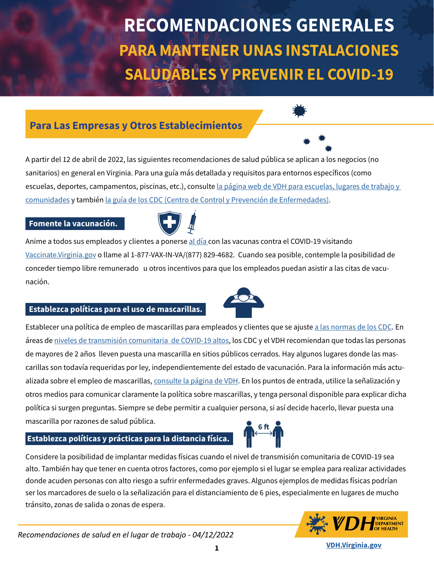**NIR EL COVID-3** 18. Does the standing order to perform the standard order to perform the second tests. How can the school get o **PARA MANTENER UNAS INSTALACIONES** requesting the straight from  $\sim$   $\mathcal{N}$  . See fulfilling this requirement: 1) Divisions and schools may obtain a standing order from a local healthcare provider with prescriptive authority **SALUDABLES Y PREVENIR EL COVID-19 RECOMENDACIONES GENERALES**

### **Para Las Empresas y Otros Establecimientos Para Las Empresas y Otros Establecimientos**  $\alpha$  supervises testing and assume stession for following up with individuals who receive a positive testing  $\alpha$

 **Vaccine and Scheduling** Continued

 $M<sub>1</sub>$  and  $M<sub>2</sub>$  and  $M<sub>3</sub>$  are  $M<sub>4</sub>$  received. initarios) en general en virginia. Para una guía más detallada y requisitos para entornos específicos (como escuelas, deportes, campamentos, piscinas, etc.), consulte <u>la página web de VDH para escuelas, lugares de trabajo y</u> <u>[comunidades](http://vdh.vriginia.gov)</u> y <mark>también</mark> <u>la guía de los CDC (Centro de Control y Prevención de Enfermedades)</u>. **19. What should schools know about the CLIA Certificate of Waiver process?**  A partir del 12 de abril de 2022, las siguientes recomendaciones de salud pública se aplican a los negocios (no  $S_{\rm tot}$  must appear by completing the Waiver by completing this form: https://www.cms.gov/Medicare/CMS-Forms/CMS-Forms/ sanitarios) en general en Virginia. Para una guía más detallada y requisitos para entornos específicos (como

# **Fomente la vacunación.**  $\begin{pmatrix} \begin{matrix} \begin{matrix} 1 \end{matrix} \end{pmatrix} & \begin{matrix} 1 \end{matrix} \end{pmatrix}$ 9960 Mayland Drive, Suite 401

OR

result.

Anime a todos sus empleados y clientes a ponerse <u>[al día c](https://espanol.cdc.gov/coronavirus/2019-ncov/vaccines/stay-up-to-date.html)</u>on las vacunas contra el COVID-19 visitando <u>accinate.Virginia.gov</u> o llame al 1-877-VAX-IN-VA/(877) 829-4682. Cuando sea posible, contemple la posibilidad de public, the FDA and CDC continue to monitor for short-term problems. The form problems in the form of the Unit<br>The following short-term problems in the same the same safety the same safety the same the safety short-term p most effective vaccines in history. Detailed information about vaccine safety is available at https://www.vdh.virginia.  $\alpha$ cion. separately. conceder tiempo libre remunerado u otros incentivos para que los empleados puedan asistir a las citas de vacu-<br>محمد ● Address of School [Vaccinate.Virginia.gov](https://vaccinate.virginia.gov/) o llame al 1-877-VAX-IN-VA/(877) 829-4682. Cuando sea posible, contemple la posibilidad de nación.

 $\zeta$  involving tens of patients. Each patient is monotored for any potential reactions or side effects.

# ● Point of Contact: **Establezca políticas para el uso de mascarillas.**

o política d Establecer una política de empleo de mascarillas para empleados y clientes que se ajuste <u>a las normas de los CDC</u>. En<br>. áreas de <u>niveles de transmisión comunitaria de COVID-19 altos,</u> los CDC y el VDH recomiendan que todas las personas de mayores de 2 años lleven puesta una mascarilla en sitios públicos cerrados. Hay algunos lugares donde las masor tedevision must deep ar levision en dieptemente del estede de veevree ién. Dere le infermee ién mée e carillas son todavía requeridas por ley, independientemente del estado de vacunación. Para la información más actualizada sobre el empleo de mascarillas, <u>consulte la página de VDH</u>. En los puntos de entrada, utilice la señalización y otros medios para comunicar claramente la política sobre mascarillas, y tenga personal disponible para explicar dicha política si surgen preguntas. Siempre se debe permitir a cualquier persona, si así decide hacerlo, llevar puesta una regarding specimen collection, handling, transport and storage as is detailed here: https://www.fda.gov/media/141570/ mascarilla por razones de salud pública. **6 ft**

#### $\blacksquare$ Establezca políticas y prácticas para la distancia física. **In the at roum and buffer and buffer** and buffer and b

temperature (59°F) during performance of the test. The test  $\overline{X}$  and  $\overline{Y}$  accuracy is significantly reduced when used outside of the test. The test  $\overline{Y}$ Considere la posibilidad de implantar medidas físicas cuando el nivel de transmisión comunitaria de COVID-19 sea alto. También hay que tener en cuenta otros factores, como por ejemplo si el lugar se emplea para realizar actividades e acuden personas con alto riesgo a sufrir enfermedades graves. Algunos ejemplos de medidas físicas podrían i donde acuden personas con alto riesgo a sufrir enfermedades graves. Algunos ejemplos de medidas físicas podrían<br>. ser los marcadores de suelo o la señalización para el distanciamiento de 6 pies, especialmente en lugares de mucho tránsito, zonas de salida o zonas de espera.

**5**







**ASKED QUESTIONS**

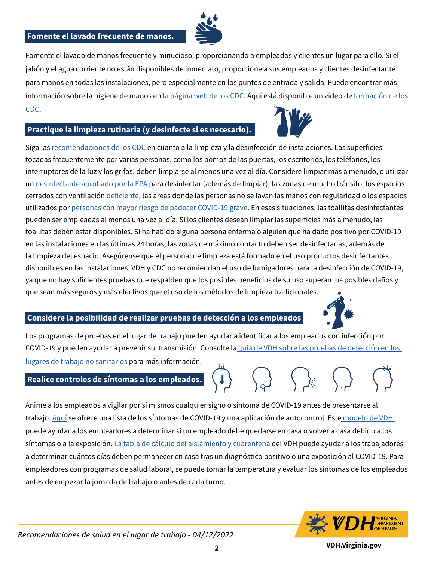#### **18. Does the school neederlie we many standing order to perform the school get one? Fomente el lavado frecuente de manos.**



jabón y el agua corriente no están disponibles de inmediato, proporcione a sus empleados y clientes desinfectante<br>para manos en todas las instalaciones, pero especialmente en los puntos de entrada y salida. Puede encontrar para manos en todas do mstatuersnes, pero espesiamente en tos pantos de entrada y saltuar ridea encontrar mas<br>información sobre la higiene de manos en <u>la página web de los CDC</u>. Aquí está disponible un vídeo de <u>formación</u> Fomente el lavado de manos frecuente y minucioso, proporcionando a empleados y clientes un lugar para ello. Si el requesting test kits from VDH. Schools have two options for fulfilling this requirement:  $1$ ) Divisions and schools may obtain a standard order from a local healthcare provider with prescriptive authority authority and  $\alpha$ para manos en todas las instalaciones, pero especialmente en los puntos de entrada y salida. Puede encontrar más  $2$ ) Schools may elect to use the K-12 Statewide Statewide Statewide Statewide statewide statewide statewide statewide statewide statewide statewide statewide statewide statewide statewide statewide statewide statewide st [CDC](https://www.cdc.gov/handwashing/esp/videos.html).

#### comply with all conditions of the standard order, including ensuring a licensed healthcare professional conducts Practique la limpieza rutinaria (y desinfecte si es necesario). **In positive test individuals en positive test**



siga las <u>recomendaciones de los CDC </u>en cuanto a la limpieza y la desinfección de instalaciones. Las superficies eddas necdentemente por varias personas, com Terraptores ae la luz y los grilos, deben limpiarse al menos una vez al ula. Considere limpiar mas a menduo, o uti un <u>desinfectante aprobado por la EPA</u> para desinfectar (además de limpiar), las zonas de mucho tránsito, los espacios cerrados con ventilación <u>deficiente</u>, las areas donde las personas no se lavan las manos con regularidad o los espacios http://www.political.com/mayor rice ucuch ser empleadas al menos una vez al día. Si los clientes desean limpiar las superneies más a menduo, la<br>.  $\bm{\tau}$ alitas deben estar disponibles. Si ha habido alguna persona enterma o alguien que ha dado positivo por COVIDn las instalaciones en las últimas 24 horas, las zonas de máximo contacto deben ser desinfectadas, además de la limpieza del espacio. Asegúrense que el personal de limpieza está formado en el uso productos desinfectantes public, the FDA and CDC continue to monitor for the FDA and continue to monitors in<br>Sponibles en las instalaciones. VDH y CDC no recomiendan el uso de fumigadores para la desinfección de COVID-19 alepondate en las metalecismes. Terry de cineratorismente in el declaram gueste pura la desimbesión de como de<br>ya que no hay suficientes pruebas que respalden que los posibles beneficios de su uso superan los posibles daño ,<br>que sean más seguros y más efectivos que el uso de los métodos de limpieza tradicionales. **tocadas frecuentemente por varias personas, como los pomos de las puertas, los escritorios, los teléfonos, los**<br>tocadas frecuentemente por varias personas, como los pomos de las puertas, los escritorios, los teléfonos, l  $S$  interes dela luz v los grifos, deben limpiarse al menos una vez al día. Considere limpiar más a menudo, e utilizar interruptores de la luz y los grifos, deben limpiarse al menos una vez al día. Considere limpiar más a menudo, o utilizar utilizados por <u>[personas con mayor riesgo de padecer COVID-19 grave](https://espanol.cdc.gov/coronavirus/2019-ncov/need-extra-precautions/index.html)</u>. En esas situaciones, las toallitas desinfectantes pueden ser empleadas al menos una vez al día. Si los clientes desean limpiar las superficies más a menudo, las toallitas deben estar disponibles. Si ha habido alguna persona enferma o alguien que ha dado positivo por COVID-19 en las instalaciones en las últimas 24 horas, las zonas de máximo contacto deben ser desinfectadas, además de<br>. ● Point of Contact: disponibles en las instalaciones. VDH y CDC no recomiendan el uso de fumigadores para la desinfección de COVID-19,

### ○ Name Considere la posibilidad de realizar pruebas de detección a los empleados

**20. Are there requirements around the storage or disposal of tests?** 



.<br>Los programas de pruebas en el lugar de trabajo pueden ayudar a identificar a los empleados con infección por ○ Phone COVID-19 y pueden ayudar a prevenir su transmisión. Consulte l[a guía de VDH sobre las pruebas de detección en los](https://www.vdh.virginia.gov/content/uploads/sites/182/2021/08/Guidance-for-Screening-Testing-in-the-Workplace____8-4-2021.docx.pdf)   $\overline{\mathcal{A}}$  and that all statement: I understand that all statements  $\overline{\mathcal{A}}$  and that all statements within a school test kits within a school test kits within a school test kits within a school test kits within a sch [lugares de trabajo no sanitarios](https://www.vdh.virginia.gov/content/uploads/sites/182/2021/08/Guidance-for-Screening-Testing-in-the-Workplace____8-4-2021.docx.pdf) para más información. Internación. Internación en termes de trabajo no sanitarios

where the support installation  $\bigcap_{n\in\mathbb{N}}$  installation-training. The support is  $\bigcap_{n\in\mathbb{N}}$ 

## Realice controles de síntomas a los empleados.

Anime a los empleados a vigilar por sí mismos cualquier signo o síntoma de COVID-19 antes de presentarse al io. Aquí se ofrece una lista de los síntomas de COVID-19 v una aplicación de autocontrol. Este modelo de VD trabajo. <u>Aquí</u> se ofrece una lista de los síntomas de COVID-19 y una aplicación de autocontrol. Este<u> modelo de VDH</u><br>. puede ayudar a los empleadores a determinar si un empleado debe quedarse en casa o volver a casa debido a los síntomas o a la exposición. <u>La tabla de cálculo del aislamiento y cuarentena</u> del VDH puede ayudar a los trabajadores  $\mathcal{F}_{\mathcal{F}}$  and  $\mathcal{F}_{\mathcal{F}}$  and  $\mathcal{F}_{\mathcal{F}}$  and  $\mathcal{F}_{\mathcal{F}}$  and  $\mathcal{F}_{\mathcal{F}}$  and used outside of the test. The test is significantly reduced when used outside of the test is significantly reduced when used o a determinar cuántos días deben permanecer en casa tras un diagnóstico positivo o una exposición al COVID-19. Para empleadores con programas de salud laboral, se puede tomar la temperatura y evaluar los síntomas de los empleados a test kit used to determine whether a person has an infection and the area school are considered biological are considered biological biological biological biological biological biological biological biological biological antes de empezar la jornada de trabajo o antes de cada turno.



**VDH.Virginia.gov VDH.Virginia.gov**